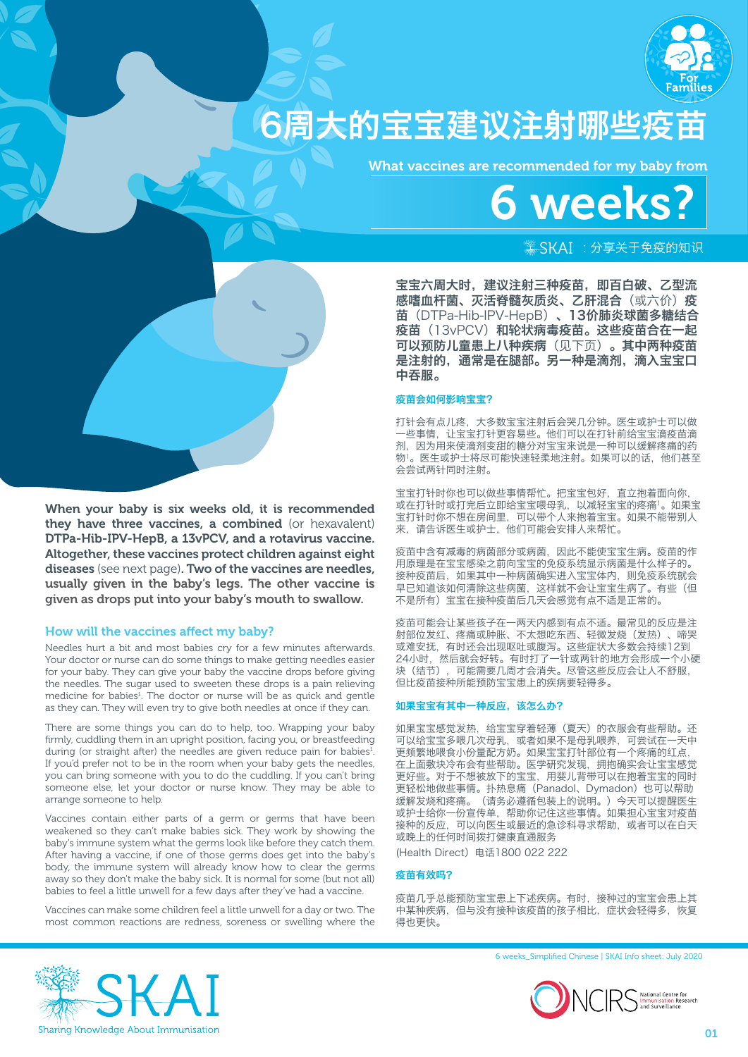

## 6周大的宝宝建议注射哪些疫苗

What vaccines are recommended for my baby from

# 6 weeks?

## $*$  SKAI : 分享关于免疫的知识

宝宝六周大时,建议注射三种疫苗,即百白破、乙型流 感嗜血杆菌、灭活脊髓灰质炎、乙肝混合(或六价)疫 苗(DTPa-Hib-IPV-HepB)、13价肺炎球菌多糖结合 疫苗(13vPCV)和轮状病毒疫苗。这些疫苗合在一起 可以预防儿童患上八种疾病(见下页)。其中两种疫苗 是注射的,通常是在腿部。另一种是滴剂,滴入宝宝口 中吞服。

## 疫苗会如何影响宝宝?

打针会有点儿疼,大多数宝宝注射后会哭几分钟。医生或护士可以做 一些事情,让宝宝打针更容易些。他们可以在打针前给宝宝滴疫苗滴 剂,因为用来使滴剂变甜的糖分对宝宝来说是一种可以缓解疼痛的药 物1。医生或护士将尽可能快速轻柔地注射。如果可以的话,他们甚至 会尝试两针同时注射。

宝宝打针时你也可以做些事情帮忙。把宝宝包好,直立抱着面向你 或在打针时或打完后立即给宝宝喂母乳,以减轻宝宝的疼痛1。如果宝 宝打针时你不想在房间里,可以带个人来抱着宝宝。如果不能带别人 来,请告诉医生或护士,他们可能会安排人来帮忙。

疫苗中含有减毒的病菌部分或病菌,因此不能使宝宝生病。疫苗的作 用原理是在宝宝感染之前向宝宝的免疫系统显示病菌是什么样子的。 接种疫苗后,如果其中一种病菌确实进入宝宝体内,则免疫系统就会 早已知道该如何清除这些病菌,这样就不会让宝宝生病了。有些(但 不是所有)宝宝在接种疫苗后几天会感觉有点不适是正常的。

疫苗可能会让某些孩子在一两天内感到有点不适。最常见的反应是注 射部位发红、疼痛或肿胀、不太想吃东西、轻微发烧(发热)、啼哭 或难安抚,有时还会出现呕吐或腹泻。这些症状大多数会持续12到 24小时,然后就会好转。有时打了一针或两针的地方会形成一个小硬 块(结节),可能需要几周才会消失。尽管这些反应会让人不舒服, 但比疫苗接种所能预防宝宝患上的疾病要轻得多。

## 如果宝宝有其中一种反应,该怎么办?

如果宝宝感觉发热,给宝宝穿着轻薄(夏天)的衣服会有些帮助。还 可以给宝宝多喂几次母乳,或者如果不是母乳喂养,可尝试在一天中 更频繁地喂食小份量配方奶。如果宝宝打针部位有一个疼痛的红点, 在上面敷块冷布会有些帮助。医学研究发现,拥抱确实会让宝宝感觉 更好些。对于不想被放下的宝宝,用婴儿背带可以在抱着宝宝的同时 更轻松地做些事情。扑热息痛(Panadol、Dymadon)也可以帮助 缓解发烧和疼痛。(请务必遵循包装上的说明。)今天可以提醒医生 或护士给你一份宣传单,帮助你记住这些事情。如果担心宝宝对疫苗 接种的反应,可以向医生或最近的急诊科寻求帮助,或者可以在白天 或晚上的任何时间拨打健康直通服务

(Health Direct)电话1800 022 222

## 疫苗有效吗?

疫苗几乎总能预防宝宝患上下述疾病。有时,接种过的宝宝会患上其 中某种疾病,但与没有接种该疫苗的孩子相比,症状会轻得多,恢复 得也更快。

### 6 weeks\_Simplified Chinese | SKAI Info sheet: July 2020





## How will the vaccines affect my baby?

Needles hurt a bit and most babies cry for a few minutes afterwards. Your doctor or nurse can do some things to make getting needles easier for your baby. They can give your baby the vaccine drops before giving the needles. The sugar used to sweeten these drops is a pain relieving medicine for babies<sup>1</sup>. The doctor or nurse will be as quick and gentle as they can. They will even try to give both needles at once if they can.

There are some things you can do to help, too. Wrapping your baby firmly, cuddling them in an upright position, facing you, or breastfeeding during (or straight after) the needles are given reduce pain for babies<sup>1</sup>. If you'd prefer not to be in the room when your baby gets the needles, you can bring someone with you to do the cuddling. If you can't bring someone else, let your doctor or nurse know. They may be able to arrange someone to help.

Vaccines contain either parts of a germ or germs that have been weakened so they can't make babies sick. They work by showing the baby's immune system what the germs look like before they catch them. After having a vaccine, if one of those germs does get into the baby's body, the immune system will already know how to clear the germs away so they don't make the baby sick. It is normal for some (but not all) babies to feel a little unwell for a few days after they've had a vaccine.

Vaccines can make some children feel a little unwell for a day or two. The most common reactions are redness, soreness or swelling where the

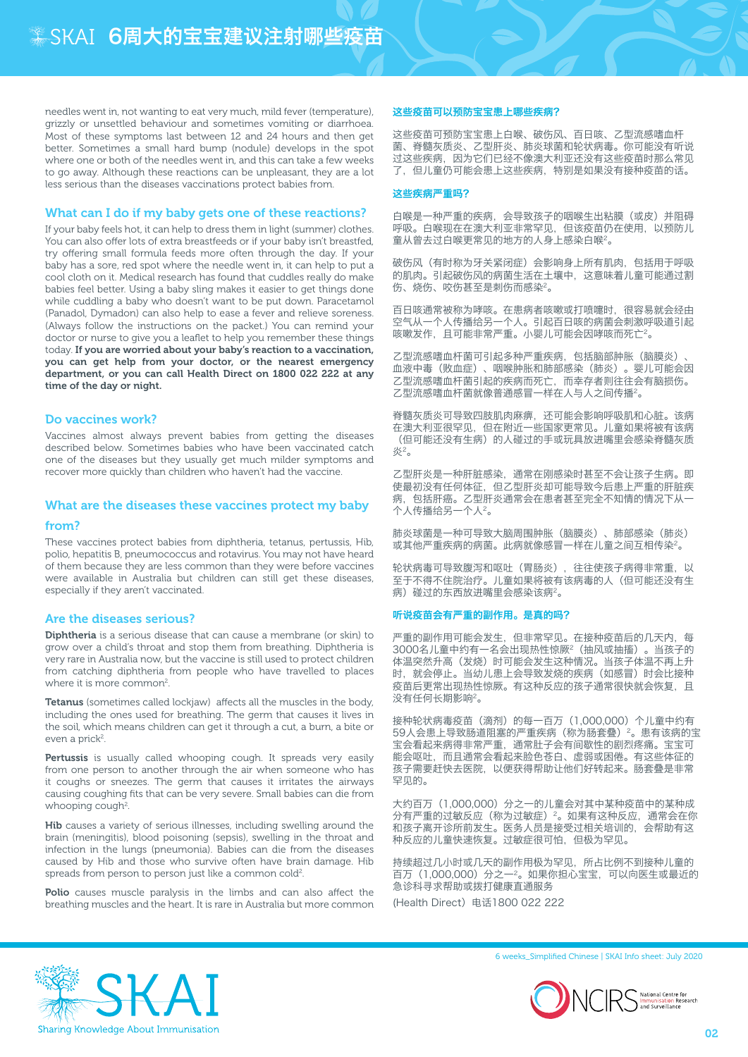needles went in, not wanting to eat very much, mild fever (temperature), grizzly or unsettled behaviour and sometimes vomiting or diarrhoea. Most of these symptoms last between 12 and 24 hours and then get better. Sometimes a small hard bump (nodule) develops in the spot where one or both of the needles went in, and this can take a few weeks to go away. Although these reactions can be unpleasant, they are a lot less serious than the diseases vaccinations protect babies from.

## What can I do if my baby gets one of these reactions?

If your baby feels hot, it can help to dress them in light (summer) clothes. You can also offer lots of extra breastfeeds or if your baby isn't breastfed, try offering small formula feeds more often through the day. If your baby has a sore, red spot where the needle went in, it can help to put a cool cloth on it. Medical research has found that cuddles really do make babies feel better. Using a baby sling makes it easier to get things done while cuddling a baby who doesn't want to be put down. Paracetamol (Panadol, Dymadon) can also help to ease a fever and relieve soreness. (Always follow the instructions on the packet.) You can remind your doctor or nurse to give you a leaflet to help you remember these things today. If you are worried about your baby's reaction to a vaccination, you can get help from your doctor, or the nearest emergency department, or you can call Health Direct on 1800 022 222 at any time of the day or night.

#### Do vaccines work?

Vaccines almost always prevent babies from getting the diseases described below. Sometimes babies who have been vaccinated catch one of the diseases but they usually get much milder symptoms and recover more quickly than children who haven't had the vaccine.

## What are the diseases these vaccines protect my baby

#### from?

These vaccines protect babies from diphtheria, tetanus, pertussis, Hib, polio, hepatitis B, pneumococcus and rotavirus. You may not have heard of them because they are less common than they were before vaccines were available in Australia but children can still get these diseases, especially if they aren't vaccinated.

#### Are the diseases serious?

Diphtheria is a serious disease that can cause a membrane (or skin) to grow over a child's throat and stop them from breathing. Diphtheria is very rare in Australia now, but the vaccine is still used to protect children from catching diphtheria from people who have travelled to places where it is more common<sup>2</sup>.

Tetanus (sometimes called lockjaw) affects all the muscles in the body, including the ones used for breathing. The germ that causes it lives in the soil, which means children can get it through a cut, a burn, a bite or even a prick<sup>2</sup>.

Pertussis is usually called whooping cough. It spreads very easily from one person to another through the air when someone who has it coughs or sneezes. The germ that causes it irritates the airways causing coughing fits that can be very severe. Small babies can die from whooping cough<sup>2</sup>.

Hib causes a variety of serious illnesses, including swelling around the brain (meningitis), blood poisoning (sepsis), swelling in the throat and infection in the lungs (pneumonia). Babies can die from the diseases caused by Hib and those who survive often have brain damage. Hib spreads from person to person just like a common cold<sup>2</sup>.

Polio causes muscle paralysis in the limbs and can also affect the breathing muscles and the heart. It is rare in Australia but more common

#### 这些疫苗可以预防宝宝患上哪些疾病?

这些疫苗可预防宝宝患上白喉、破伤风、百日咳、乙型流感嗜血杆 菌、脊髓灰质炎、乙型肝炎、肺炎球菌和轮状病毒。你可能没有听说 过这些疾病,因为它们已经不像澳大利亚还没有这些疫苗时那么常见 了,但儿童仍可能会患上这些疾病,特别是如果没有接种疫苗的话。

#### 这些疾病严重吗?

白喉是一种严重的疾病,会导致孩子的咽喉生出粘膜(或皮)并阻碍 呼吸。白喉现在在澳大利亚非常罕见,但该疫苗仍在使用,以预防儿 童从曾去过白喉更常见的地方的人身上感染白喉2。

破伤风(有时称为牙关紧闭症)会影响身上所有肌肉,包括用于呼吸 的肌肉。引起破伤风的病菌生活在土壤中,这意味着儿童可能通过割 伤、烧伤、咬伤甚至是刺伤而感染<sup>2</sup>。

百日咳通常被称为哮咳。在患病者咳嗽或打喷嚏时,很容易就会经由 空气从一个人传播给另一个人。引起百日咳的病菌会刺激呼吸道引起 工 WA HARS 2022 19:00 SHORE HARD 2022 20:00 THE TARRET 20 SHORE 20:00 THE TARRET 20:00 THE TARRET 20:00 THE TAR

乙型流感嗜血杆菌可引起多种严重疾病,包括脑部肿胀(脑膜炎) 血液中毒(败血症)、咽喉肿胀和肺部感染(肺炎)。婴儿可能会因 乙型流感嗜血杆菌引起的疾病而死亡,而幸存者则往往会有脑损伤。 乙型流感嗜血杆菌就像普通感冒一样在人与人之间传播2。

脊髓灰质炎可导致四肢肌肉麻痹,还可能会影响呼吸肌和心脏。该病 在澳大利亚很罕见,但在附近一些国家更常见。儿童如果将被有该病 (但可能还没有生病)的人碰过的手或玩具放进嘴里会感染脊髓灰质 炎2。

乙型肝炎是一种肝脏感染,通常在刚感染时甚至不会让孩子生病。即 使最初没有任何体征,但乙型肝炎却可能导致今后患上严重的肝脏疾 病,包括肝癌。乙型肝炎通常会在患者甚至完全不知情的情况下从一 个人传播给另一个人2。

肺炎球菌是一种可导致大脑周围肿胀(脑膜炎)、肺部感染(肺炎) 或其他严重疾病的病菌。此病就像感冒一样在儿童之间互相传染<sup>2</sup>。

轮状病毒可导致腹泻和呕吐(胃肠炎),往往使孩子病得非常重,以 至于不得不住院治疗。儿童如果将被有该病毒的人(但可能还没有生 病)碰过的东西放进嘴里会感染该病2。

#### 听说疫苗会有严重的副作用。是真的吗?

严重的副作用可能会发生,但非常罕见。在接种疫苗后的几天内,每 3000名儿童中约有一名会出现热性惊厥2(抽风或抽搐)。当孩子的 体温突然升高(发烧)时可能会发生这种情况。当孩子体温不再上升 时,就会停止。当幼儿患上会导致发烧的疾病(如感冒)时会比接种 疫苗后更常出现热性惊厥。有这种反应的孩子通常很快就会恢复,且 没有任何长期影响2。

接种轮状病毒疫苗(滴剂)的每一百万(1,000,000)个儿童中约有 59人会患上导致肠道阻塞的严重疾病(称为肠套叠)<sup>2</sup>。患有该病的宝 宝会看起来病得非常严重,通常肚子会有间歇性的剧烈疼痛。宝宝可 能会呕吐,而且通常会看起来脸色苍白、虚弱或困倦。有这些体征的 孩子需要赶快去医院,以便获得帮助让他们好转起来。肠套叠是非常 罕见的。

大约百万(1,000,000)分之一的儿童会对其中某种疫苗中的某种成 分有严重的过敏反应(称为过敏症) 2。如果有这种反应, 通常会在你 和孩子离开诊所前发生。医务人员是接受过相关培训的,会帮助有这 种反应的儿童快速恢复。过敏症很可怕,但极为罕见。

持续超过几小时或几天的副作用极为罕见,所占比例不到接种儿童的 百万(1,000,000)分之一2。如果你担心宝宝,可以向医生或最近的 急诊科寻求帮助或拨打健康直通服务 (Health Direct)电话1800 022 222



6 weeks\_Simplified Chinese | SKAI Info sheet: July 2020